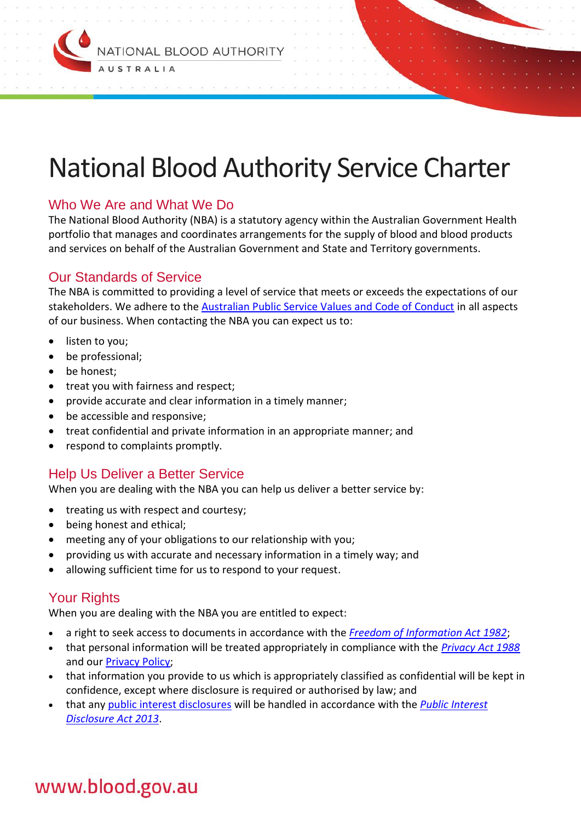

# National Blood Authority Service Charter

## Who We Are and What We Do

The National Blood Authority (NBA) is a statutory agency within the Australian Government Health portfolio that manages and coordinates arrangements for the supply of blood and blood products and services on behalf of the Australian Government and State and Territory governments.

#### Our Standards of Service

The NBA is committed to providing a level of service that meets or exceeds the expectations of our stakeholders. We adhere to the [Australian Public Service Values and Code of Conduct](http://www.apsc.gov.au/publications-and-media/current-publications/aps-values-resources) in all aspects of our business. When contacting the NBA you can expect us to:

- listen to you;
- be professional;
- be honest;
- treat you with fairness and respect;
- provide accurate and clear information in a timely manner;
- be accessible and responsive;
- treat confidential and private information in an appropriate manner; and
- respond to complaints promptly.

### Help Us Deliver a Better Service

When you are dealing with the NBA you can help us deliver a better service by:

- treating us with respect and courtesy;
- being honest and ethical;
- meeting any of your obligations to our relationship with you;
- providing us with accurate and necessary information in a timely way; and
- allowing sufficient time for us to respond to your request.

### Your Rights

When you are dealing with the NBA you are entitled to expect:

- a right to seek access to documents in accordance with the *[Freedom of Information Act 1982](https://www.legislation.gov.au/Series/C2004A02562)*;
- that personal information will be treated appropriately in compliance with the *[Privacy Act 1988](https://www.legislation.gov.au/Series/C2004A03712)* and our [Privacy Policy;](https://www.blood.gov.au/privacy)
- that information you provide to us which is appropriately classified as confidential will be kept in confidence, except where disclosure is required or authorised by law; and
- that an[y public interest disclosures](https://www.blood.gov.au/public-interest-disclosure) will be handled in accordance with the *[Public Interest](http://www.comlaw.gov.au/Series/C2013A00133)  [Disclosure Act 2013](http://www.comlaw.gov.au/Series/C2013A00133)*.

# www.blood.gov.au